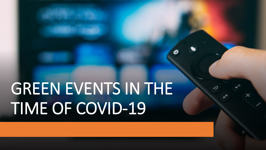## GREEN EVENTS IN THE TIME OF COVID-19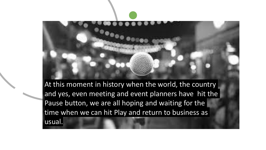

At this moment in history when the world, the country and yes, even meeting and event planners have hit the Pause button, we are all hoping and waiting for the time when we can hit Play and return to business as usual.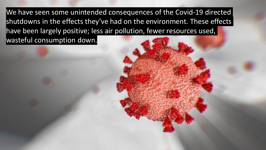We have seen some unintended consequences of the Covid-19 directed shutdowns in the effects they've had on the environment. These effects have been largely positive; less air pollution, fewer resources used, wasteful consumption down.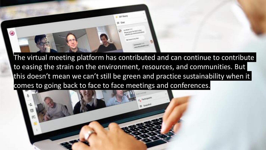

The virtual meeting platform has contributed and can continue to contribute to easing the strain on the environment, resources, and communities. But this doesn't mean we can't still be green and practice sustainability when it comes to going back to face to face meetings and conferences.

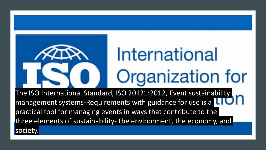## International Organization for

The ISO International Standard, ISO 20121:2012, Event sustainability management systems-Requirements with guidance for use is a practical tool for managing events in ways that contribute to the three elements of sustainability- the environment, the economy, and society.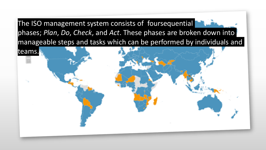The ISO management system consists of foursequential phases; *Plan*, *Do*, *Check*, and *Act*. These phases are broken down into manageable steps and tasks which can be performed by individuals and